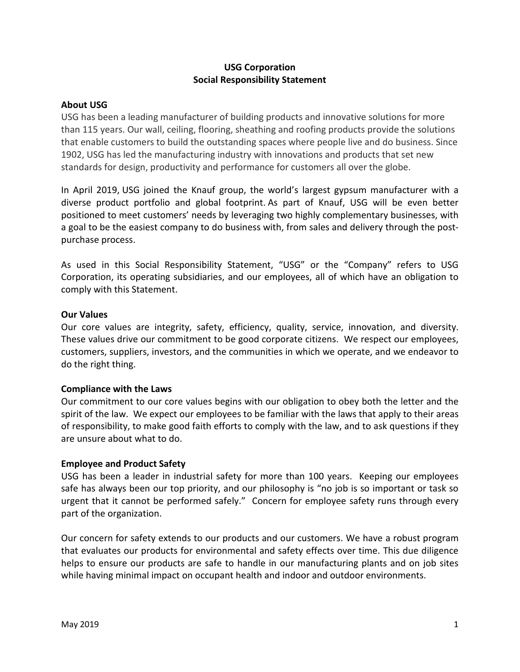# **USG Corporation Social Responsibility Statement**

### **About USG**

USG has been a leading manufacturer of building products and innovative solutions for more than 115 years. Our wall, ceiling, flooring, sheathing and roofing products provide the solutions that enable customers to build the outstanding spaces where people live and do business. Since 1902, USG has led the manufacturing industry with innovations and products that set new standards for design, productivity and performance for customers all over the globe.

In April 2019, USG joined the Knauf group, the world's largest gypsum manufacturer with a diverse product portfolio and global footprint. As part of Knauf, USG will be even better positioned to meet customers' needs by leveraging two highly complementary businesses, with a goal to be the easiest company to do business with, from sales and delivery through the postpurchase process.

As used in this Social Responsibility Statement, "USG" or the "Company" refers to USG Corporation, its operating subsidiaries, and our employees, all of which have an obligation to comply with this Statement.

#### **Our Values**

Our core values are integrity, safety, efficiency, quality, service, innovation, and diversity. These values drive our commitment to be good corporate citizens. We respect our employees, customers, suppliers, investors, and the communities in which we operate, and we endeavor to do the right thing.

#### **Compliance with the Laws**

Our commitment to our core values begins with our obligation to obey both the letter and the spirit of the law. We expect our employees to be familiar with the laws that apply to their areas of responsibility, to make good faith efforts to comply with the law, and to ask questions if they are unsure about what to do.

#### **Employee and Product Safety**

USG has been a leader in industrial safety for more than 100 years. Keeping our employees safe has always been our top priority, and our philosophy is "no job is so important or task so urgent that it cannot be performed safely." Concern for employee safety runs through every part of the organization.

Our concern for safety extends to our products and our customers. We have a robust program that evaluates our products for environmental and safety effects over time. This due diligence helps to ensure our products are safe to handle in our manufacturing plants and on job sites while having minimal impact on occupant health and indoor and outdoor environments.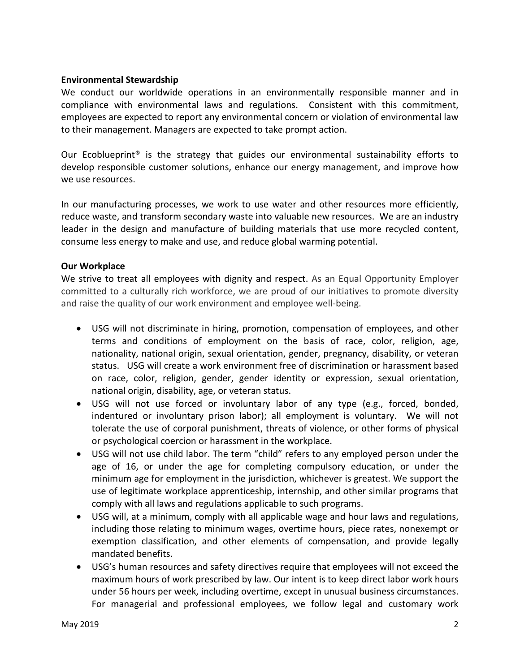#### **Environmental Stewardship**

We conduct our worldwide operations in an environmentally responsible manner and in compliance with environmental laws and regulations. Consistent with this commitment, employees are expected to report any environmental concern or violation of environmental law to their management. Managers are expected to take prompt action.

Our Ecoblueprint<sup>®</sup> is the strategy that guides our environmental sustainability efforts to develop responsible customer solutions, enhance our energy management, and improve how we use resources.

In our manufacturing processes, we work to use water and other resources more efficiently, reduce waste, and transform secondary waste into valuable new resources. We are an industry leader in the design and manufacture of building materials that use more recycled content, consume less energy to make and use, and reduce global warming potential.

## **Our Workplace**

We strive to treat all employees with dignity and respect. As an Equal Opportunity Employer committed to a culturally rich workforce, we are proud of our initiatives to promote diversity and raise the quality of our work environment and employee well-being.

- USG will not discriminate in hiring, promotion, compensation of employees, and other terms and conditions of employment on the basis of race, color, religion, age, nationality, national origin, sexual orientation, gender, pregnancy, disability, or veteran status. USG will create a work environment free of discrimination or harassment based on race, color, religion, gender, gender identity or expression, sexual orientation, national origin, disability, age, or veteran status.
- USG will not use forced or involuntary labor of any type (e.g., forced, bonded, indentured or involuntary prison labor); all employment is voluntary. We will not tolerate the use of corporal punishment, threats of violence, or other forms of physical or psychological coercion or harassment in the workplace.
- USG will not use child labor. The term "child" refers to any employed person under the age of 16, or under the age for completing compulsory education, or under the minimum age for employment in the jurisdiction, whichever is greatest. We support the use of legitimate workplace apprenticeship, internship, and other similar programs that comply with all laws and regulations applicable to such programs.
- USG will, at a minimum, comply with all applicable wage and hour laws and regulations, including those relating to minimum wages, overtime hours, piece rates, nonexempt or exemption classification, and other elements of compensation, and provide legally mandated benefits.
- USG's human resources and safety directives require that employees will not exceed the maximum hours of work prescribed by law. Our intent is to keep direct labor work hours under 56 hours per week, including overtime, except in unusual business circumstances. For managerial and professional employees, we follow legal and customary work